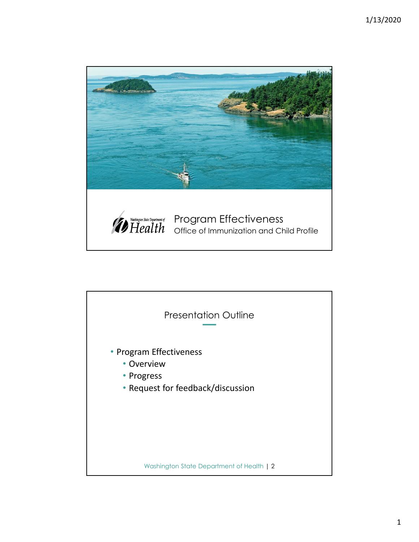

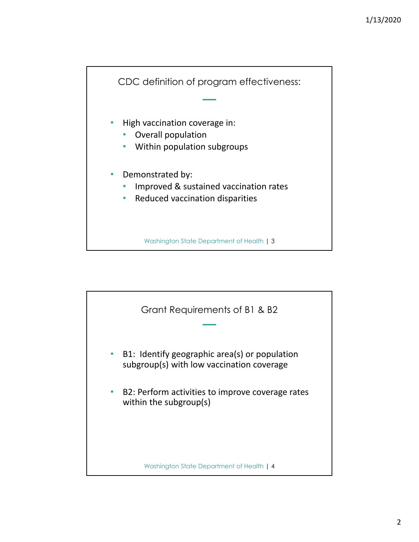

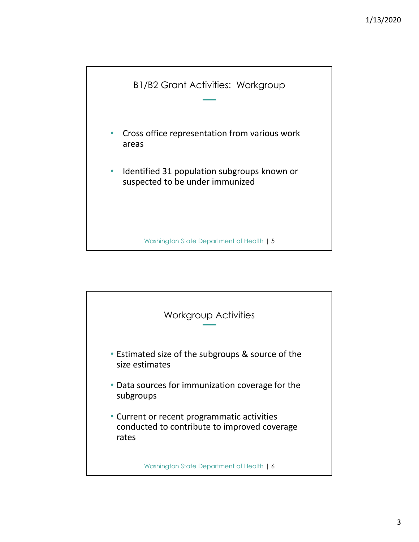

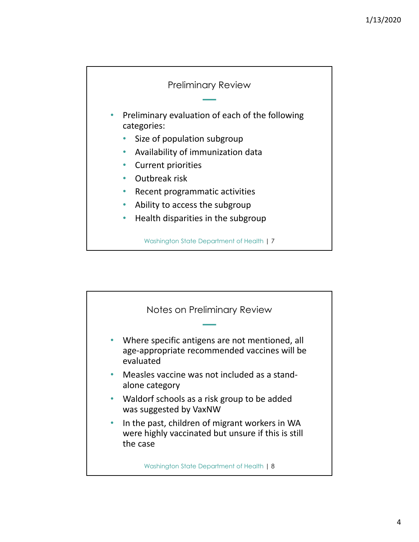

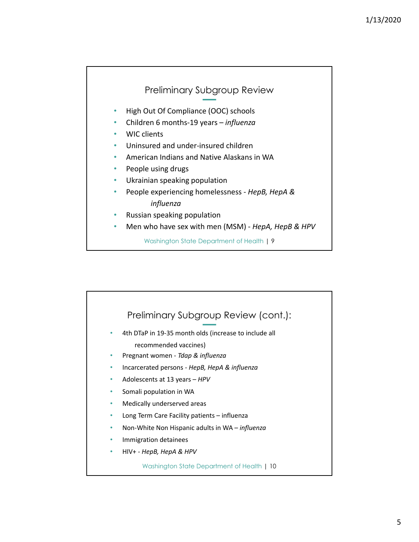## Preliminary Subgroup Review

- High Out Of Compliance (OOC) schools
- Children 6 months‐19 years *influenza*
- WIC clients
- Uninsured and under‐insured children
- American Indians and Native Alaskans in WA
- People using drugs
- Ukrainian speaking population
- People experiencing homelessness ‐ *HepB, HepA & influenza*
- Russian speaking population
- Men who have sex with men (MSM) ‐ *HepA, HepB & HPV*

Washington State Department of Health | 9

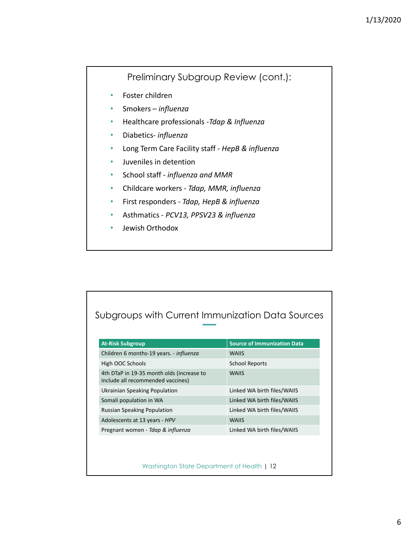## Preliminary Subgroup Review (cont.):

- Foster children
- Smokers *influenza*
- Healthcare professionals ‐*Tdap & Influenza*
- Diabetics‐ *influenza*
- Long Term Care Facility staff ‐ *HepB & influenza*
- Juveniles in detention
- School staff ‐ *influenza and MMR*
- Childcare workers ‐ *Tdap, MMR, influenza*
- First responders ‐ *Tdap, HepB & influenza*
- Asthmatics ‐ *PCV13, PPSV23 & influenza*
- Jewish Orthodox

## Subgroups with Current Immunization Data Sources

| <b>At-Risk Subgroup</b>                                                        | <b>Source of Immunization Data</b> |
|--------------------------------------------------------------------------------|------------------------------------|
| Children 6 months-19 years. - influenza                                        | <b>WAIIS</b>                       |
| High OOC Schools                                                               | School Reports                     |
| 4th DTaP in 19-35 month olds (increase to<br>include all recommended vaccines) | <b>WAIIS</b>                       |
| Ukrainian Speaking Population                                                  | Linked WA birth files/WAIIS        |
| Somali population in WA                                                        | Linked WA birth files/WAIIS        |
| <b>Russian Speaking Population</b>                                             | Linked WA birth files/WAIIS        |
| Adolescents at 13 years - HPV                                                  | <b>WAIIS</b>                       |
| Pregnant women - Tdap & influenza                                              | Linked WA birth files/WAIIS        |

Washington State Department of Health | 12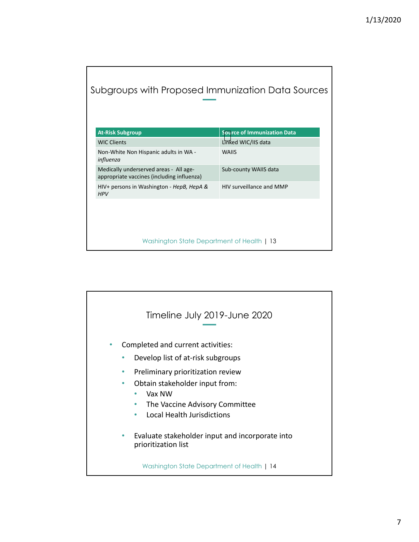## Subgroups with Proposed Immunization Data Sources

| <b>WIC Clients</b>                                                                           | Linked WIC/IIS data<br><b>WAIIS</b> |
|----------------------------------------------------------------------------------------------|-------------------------------------|
| Non-White Non Hispanic adults in WA -<br>influenza<br>Medically underserved areas - All age- |                                     |
|                                                                                              |                                     |
| appropriate vaccines (including influenza)                                                   | Sub-county WAIIS data               |
| HIV+ persons in Washington - HepB, HepA &                                                    | HIV surveillance and MMP            |
| <b>HPV</b>                                                                                   |                                     |

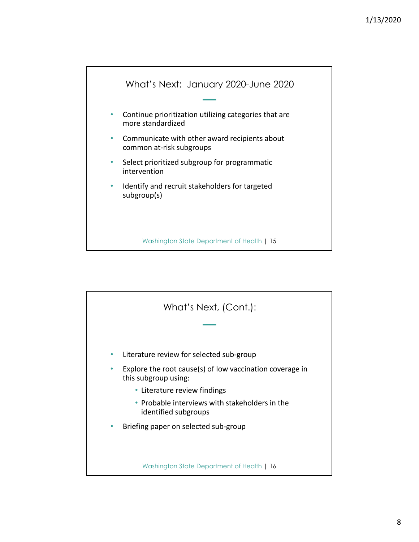

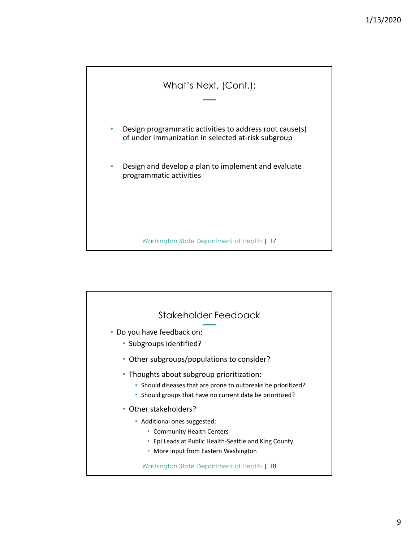

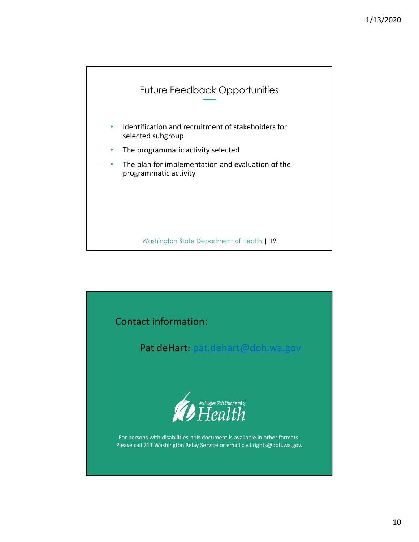